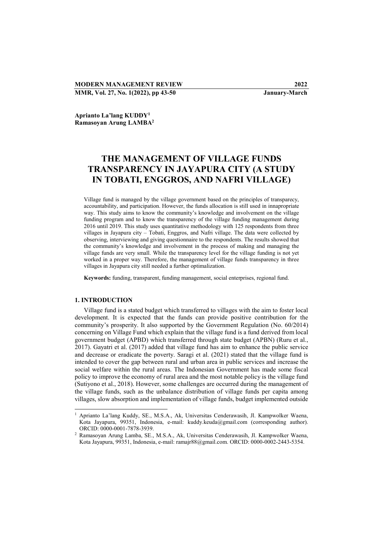## MODERN MANAGEMENT REVIEW 2022

MMR, Vol. 27, No. 1(2022), pp 43-50 January-March

Aprianto La'lang KUDDY<sup>1</sup> Ramasoyan Arung LAMBA<sup>2</sup>

# THE MANAGEMENT OF VILLAGE FUNDS TRANSPARENCY IN JAYAPURA CITY (A STUDY IN TOBATI, ENGGROS, AND NAFRI VILLAGE)

Village fund is managed by the village government based on the principles of transparecy, accountability, and participation. However, the funds allocation is still used in innapropriate way. This study aims to know the community's knowledge and involvement on the village funding program and to know the transparency of the village funding management during 2016 until 2019. This study uses quantitative methodology with 125 respondents from three villages in Jayapura city – Tobati, Enggros, and Nafri village. The data were collected by observing, interviewing and giving questionnaire to the respondents. The results showed that the community's knowledge and involvement in the process of making and managing the village funds are very small. While the transparency level for the village funding is not yet worked in a proper way. Therefore, the management of village funds transparency in three villages in Jayapura city still needed a further optimalization.

Keywords: funding, transparent, funding management, social enterprises, regional fund.

## 1. INTRODUCTION

-

Village fund is a stated budget which transferred to villages with the aim to foster local development. It is expected that the funds can provide positive contribution for the community's prosperity. It also supported by the Government Regulation (No. 60/2014) concerning on Village Fund which explain that the village fund is a fund derived from local government budget (APBD) which transferred through state budget (APBN) (Ruru et al., 2017). Gayatri et al. (2017) added that village fund has aim to enhance the public service and decrease or eradicate the poverty. Saragi et al. (2021) stated that the village fund is intended to cover the gap between rural and urban area in public services and increase the social welfare within the rural areas. The Indonesian Government has made some fiscal policy to improve the economy of rural area and the most notable policy is the village fund (Sutiyono et al., 2018). However, some challenges are occurred during the management of the village funds, such as the unbalance distribution of village funds per capita among villages, slow absorption and implementation of village funds, budget implemented outside

<sup>1</sup> Aprianto La'lang Kuddy, SE., M.S.A., Ak, Universitas Cenderawasih, Jl. Kampwolker Waena, Kota Jayapura, 99351, Indonesia, e-mail: kuddy.keuda@gmail.com (corresponding author). ORCID: 0000-0001-7878-3939.

<sup>2</sup> Ramasoyan Arung Lamba, SE., M.S.A., Ak, Universitas Cenderawasih, Jl. Kampwolker Waena, Kota Jayapura, 99351, Indonesia, e-mail: ramajr88@gmail.com. ORCID: 0000-0002-2443-5354.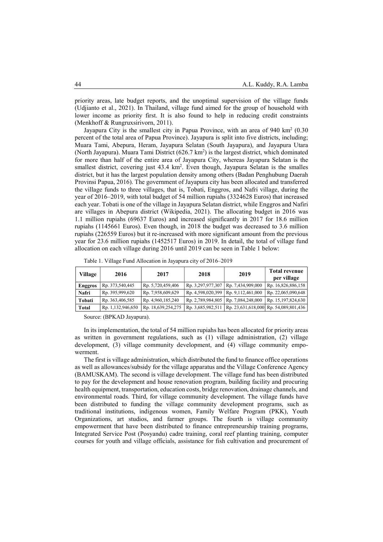priority areas, late budget reports, and the unoptimal supervision of the village funds (Udjianto et al., 2021). In Thailand, village fund aimed for the group of household with lower income as priority first. It is also found to help in reducing credit constraints (Menkhoff & Rungruxsirivorn, 2011).

Jayapura City is the smallest city in Papua Province, with an area of 940 km<sup>2</sup> (0.30 percent of the total area of Papua Province). Jayapura is split into five districts, including; Muara Tami, Abepura, Heram, Jayapura Selatan (South Jayapura), and Jayapura Utara (North Jayapura). Muara Tami District  $(626.7 \text{ km}^2)$  is the largest district, which dominated for more than half of the entire area of Jayapura City, whereas Jayapura Selatan is the smallest district, covering just  $43.4 \text{ km}^2$ . Even though, Jayapura Selatan is the smalles district, but it has the largest population density among others (Badan Penghubung Daerah Provinsi Papua, 2016). The government of Jayapura city has been allocated and transferred the village funds to three villages, that is, Tobati, Enggros, and Nafri village, during the year of 2016–2019, with total budget of 54 million rupiahs (3324628 Euros) that increased each year. Tobati is one of the village in Jayapura Selatan district, while Enggros and Nafiri are villages in Abepura district (Wikipedia, 2021). The allocating budget in 2016 was 1.1 million rupiahs (69637 Euros) and increased significantly in 2017 for 18.6 million rupiahs (1145661 Euros). Even though, in 2018 the budget was decreased to 3.6 million rupiahs (226559 Euros) but it re-increased with more significant amount from the previous year for 23.6 million rupiahs (1452517 Euros) in 2019. In detail, the total of village fund allocation on each village during 2016 until 2019 can be seen in Table 1 below:

| Village        | 2016              | 2017               | 2018                                  | 2019 | <b>Total revenue</b><br>per village                         |
|----------------|-------------------|--------------------|---------------------------------------|------|-------------------------------------------------------------|
| <b>Enggros</b> | Rp. 373,540,445   | Rp. 5,720,459,406  | Rp. 3,297,977,307   Rp. 7,434,909,000 |      | Rp. 16,826,886,158                                          |
| Nafri          | Rp. 395,999,620   | Rp. 7,958,609,629  | Rp. 4,598,020,399   Rp. 9,112,461,000 |      | Rp. 22,065,090,648                                          |
| Tobati         | Rp. 363,406,585   | Rp. 4,960,185,240  | Rp. 2,789,984,805   Rp. 7,084,248,000 |      | Rp. 15,197,824,630                                          |
| Total          | Rp. 1,132,946,650 | Rp. 18,639,254,275 |                                       |      | Rp. 3,685,982,511   Rp. 23,631,618,000   Rp. 54,089,801,436 |

Table 1. Village Fund Allocation in Jayapura city of 2016–2019

Source: (BPKAD Jayapura).

In its implementation, the total of 54 million rupiahs has been allocated for priority areas as written in government regulations, such as (1) village administration, (2) village development, (3) village community development, and (4) village community empowerment.

The first is village administration, which distributed the fund to finance office operations as well as allowances/subsidy for the village apparatus and the Village Conference Agency (BAMUSKAM). The second is village development. The village fund has been distributed to pay for the development and house renovation program, building facility and procuring health equipment, transportation, education costs, bridge renovation, drainage channels, and environmental roads. Third, for village community development. The village funds have been distributed to funding the village community development programs, such as traditional institutions, indigenous women, Family Welfare Program (PKK), Youth Organizations, art studios, and farmer groups. The fourth is village community empowerment that have been distributed to finance entrepreneurship training programs, Integrated Service Post (Posyandu) cadre training, coral reef planting training, computer courses for youth and village officials, assistance for fish cultivation and procurement of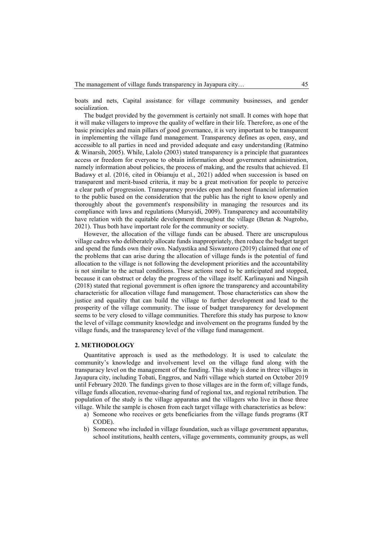boats and nets, Capital assistance for village community businesses, and gender socialization.

The budget provided by the government is certainly not small. It comes with hope that it will make villagers to improve the quality of welfare in their life. Therefore, as one of the basic principles and main pillars of good governance, it is very important to be transparent in implementing the village fund management. Transparency defines as open, easy, and accessible to all parties in need and provided adequate and easy understanding (Ratmino & Winarsih, 2005). While, Lalolo (2003) stated transparency is a principle that guarantees access or freedom for everyone to obtain information about government administration, namely information about policies, the process of making, and the results that achieved. El Badawy et al. (2016, cited in Obianuju et al., 2021) added when succession is based on transparent and merit-based criteria, it may be a great motivation for people to perceive a clear path of progression. Transparency provides open and honest financial information to the public based on the consideration that the public has the right to know openly and thoroughly about the government's responsibility in managing the resources and its compliance with laws and regulations (Mursyidi, 2009). Transparency and accountability have relation with the equitable development throughout the village (Betan & Nugroho, 2021). Thus both have important role for the community or society.

However, the allocation of the village funds can be abused. There are unscrupulous village cadres who deliberately allocate funds inappropriately, then reduce the budget target and spend the funds own their own. Nadyastika and Siswantoro (2019) claimed that one of the problems that can arise during the allocation of village funds is the potential of fund allocation to the village is not following the development priorities and the accountability is not similar to the actual conditions. These actions need to be anticipated and stopped, because it can obstruct or delay the progress of the village itself. Karlinayani and Ningsih (2018) stated that regional government is often ignore the transparency and accountability characteristic for allocation village fund management. Those characteristics can show the justice and equality that can build the village to further development and lead to the prosperity of the village community. The issue of budget transparency for development seems to be very closed to village communities. Therefore this study has purpose to know the level of village community knowledge and involvement on the programs funded by the village funds, and the transparency level of the village fund management.

#### 2. METHODOLOGY

Quantitative approach is used as the methodology. It is used to calculate the community's knowledge and involvement level on the village fund along with the transparacy level on the management of the funding. This study is done in three villages in Jayapura city, including Tobati, Enggros, and Nafri village which started on October 2019 until February 2020. The fundings given to those villages are in the form of; village funds, village funds allocation, revenue-sharing fund of regional tax, and regional retribution. The population of the study is the village apparatus and the villagers who live in those three village. While the sample is chosen from each target village with characteristics as below:

- a) Someone who receives or gets beneficiaries from the village funds programs (RT CODE).
- b) Someone who included in village foundation, such as village government apparatus, school institutions, health centers, village governments, community groups, as well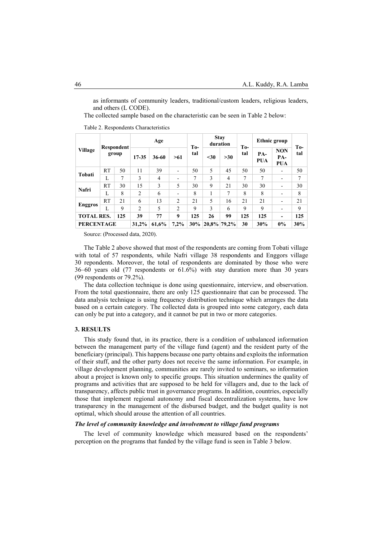as informants of community leaders, traditional/custom leaders, religious leaders, and others (L CODE).

The collected sample based on the characteristic can be seen in Table 2 below:

Table 2. Respondents Characteristics

| <b>Village</b>           | Respondent<br>group |       | Age            |                | <b>To-</b>     | <b>Stay</b><br>duration |             | T <sub>0</sub> | Ethnic group |                          | To-                             |     |
|--------------------------|---------------------|-------|----------------|----------------|----------------|-------------------------|-------------|----------------|--------------|--------------------------|---------------------------------|-----|
|                          |                     |       | 17-35          | $36 - 60$      | >61            | tal                     | $30$        | >30            | tal          | PA-<br>PUA               | <b>NON</b><br>PA-<br><b>PUA</b> | tal |
| Tobati                   | RT                  | 50    | 11             | 39             |                | 50                      | 5           | 45             | 50           | 50                       | $\overline{\phantom{a}}$        | 50  |
|                          | L                   | 7     | 3              | $\overline{4}$ | -              | 7                       | 3           | $\overline{4}$ | 7            | 7                        | $\overline{\phantom{a}}$        | 7   |
| Nafri                    | RT                  | 30    | 15             | 3              | 5              | 30                      | 9           | 21             | 30           | 30                       | $\overline{\phantom{a}}$        | 30  |
|                          | L                   | 8     | $\overline{2}$ | 6              | -              | 8                       |             | 7              | 8            | 8                        | $\overline{\phantom{a}}$        | 8   |
| <b>Enggros</b>           | RT                  | 21    | 6              | 13             | 2              | 21                      | 5           | 16             | 21           | 21                       | $\overline{\phantom{0}}$        | 21  |
|                          | L                   | 9     | $\overline{2}$ | 5              | $\overline{c}$ | 9                       | 3           | 6              | 9            | 9                        |                                 | 9   |
| <b>TOTAL RES.</b><br>125 |                     | 39    | 77             | 9              | 125            | 26                      | 99          | 125            | 125          | $\overline{\phantom{0}}$ | 125                             |     |
| <b>PERCENTAGE</b>        |                     | 31.2% | 61,6%          | 7,2%           | 30%            |                         | 20,8% 79,2% | 30             | 30%          | 0%                       | 30%                             |     |

Source: (Processed data, 2020).

The Table 2 above showed that most of the respondents are coming from Tobati village with total of 57 respondents, while Nafri village 38 respondents and Enggors village 30 repondents. Moreover, the total of respondents are dominated by those who were 36–60 years old (77 respondents or 61.6%) with stay duration more than 30 years (99 respondents or 79.2%).

The data collection technique is done using questionnaire, interview, and observation. From the total questionnaire, there are only 125 questionnaire that can be processed. The data analysis technique is using frequency distribution technique which arranges the data based on a certain category. The collected data is grouped into some category, each data can only be put into a category, and it cannot be put in two or more categories.

## 3. RESULTS

This study found that, in its practice, there is a condition of unbalanced information between the management party of the village fund (agent) and the resident party of the beneficiary (principal). This happens because one party obtains and exploits the information of their stuff, and the other party does not receive the same information. For example, in village development planning, communities are rarely invited to seminars, so information about a project is known only to specific groups. This situation undermines the quality of programs and activities that are supposed to be held for villagers and, due to the lack of transparency, affects public trust in governance programs. In addition, countries, especially those that implement regional autonomy and fiscal decentralization systems, have low transparency in the management of the disbursed budget, and the budget quality is not optimal, which should arouse the attention of all countries.

### The level of community knowledge and involvement to village fund programs

The level of community knowledge which measured based on the respondents' perception on the programs that funded by the village fund is seen in Table 3 below.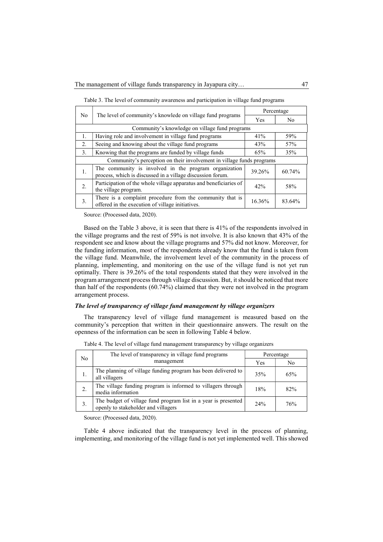| N <sub>0</sub>                                                        |                                                                                                                     | Percentage |        |  |  |  |
|-----------------------------------------------------------------------|---------------------------------------------------------------------------------------------------------------------|------------|--------|--|--|--|
|                                                                       | The level of community's knowlede on village fund programs                                                          | <b>Yes</b> | No.    |  |  |  |
| Community's knowledge on village fund programs                        |                                                                                                                     |            |        |  |  |  |
| 1.                                                                    | Having role and involvement in village fund programs                                                                | 41%        | 59%    |  |  |  |
| 2.                                                                    | Seeing and knowing about the village fund programs                                                                  | 43%        | 57%    |  |  |  |
| 3.                                                                    | Knowing that the programs are funded by village funds                                                               | 65%        | 35%    |  |  |  |
| Community's perception on their involvement in village funds programs |                                                                                                                     |            |        |  |  |  |
| 1.                                                                    | The community is involved in the program organization<br>process, which is discussed in a village discussion forum. | 39.26%     | 60.74% |  |  |  |
| 2.                                                                    | Participation of the whole village apparatus and beneficiaries of<br>the village program.                           | 42%        | 58%    |  |  |  |
| 3.                                                                    | There is a complaint procedure from the community that is<br>offered in the execution of village initiatives.       | 16.36%     | 83.64% |  |  |  |

Table 3. The level of community awareness and participation in village fund programs

Source: (Processed data, 2020).

Based on the Table 3 above, it is seen that there is 41% of the respondents involved in the village programs and the rest of 59% is not involve. It is also known that 43% of the respondent see and know about the village programs and 57% did not know. Moreover, for the funding information, most of the respondents already know that the fund is taken from the village fund. Meanwhile, the involvement level of the community in the process of planning, implementing, and monitoring on the use of the village fund is not yet run optimally. There is 39.26% of the total respondents stated that they were involved in the program arrangement process through village discussion. But, it should be noticed that more than half of the respondents (60.74%) claimed that they were not involved in the program arrangement process.

## The level of transparency of village fund management by village organizers

The transparency level of village fund management is measured based on the community's perception that written in their questionnaire answers. The result on the openness of the information can be seen in following Table 4 below.

| No | The level of transparency in village fund programs                                                    | Percentage |     |  |
|----|-------------------------------------------------------------------------------------------------------|------------|-----|--|
|    | management                                                                                            | Yes        | No  |  |
| 1. | The planning of village funding program has been delivered to<br>all villagers                        | 35%        | 65% |  |
|    | The village funding program is informed to villagers through<br>media information                     | 18%        | 82% |  |
|    | The budget of village fund program list in a year is presented<br>openly to stakeholder and villagers | $2.4\%$    | 76% |  |

Table 4. The level of village fund management transparency by village organizers

Source: (Processed data, 2020).

Table 4 above indicated that the transparency level in the process of planning, implementing, and monitoring of the village fund is not yet implemented well. This showed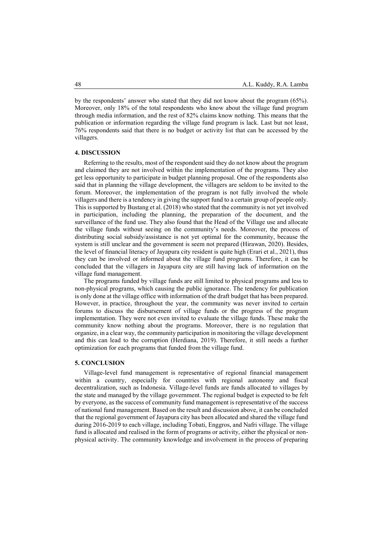by the respondents' answer who stated that they did not know about the program (65%). Moreover, only 18% of the total respondents who know about the village fund program through media information, and the rest of 82% claims know nothing. This means that the publication or information regarding the village fund program is lack. Last but not least, 76% respondents said that there is no budget or activity list that can be accessed by the villagers.

#### 4. DISCUSSION

Referring to the results, most of the respondent said they do not know about the program and claimed they are not involved within the implementation of the programs. They also get less opportunity to participate in budget planning proposal. One of the respondents also said that in planning the village development, the villagers are seldom to be invited to the forum. Moreover, the implementation of the program is not fully involved the whole villagers and there is a tendency in giving the support fund to a certain group of people only. This is supported by Bustang et al. (2018) who stated that the community is not yet involved in participation, including the planning, the preparation of the document, and the surveillance of the fund use. They also found that the Head of the Village use and allocate the village funds without seeing on the community's needs. Moreover, the process of distributing social subsidy/assistance is not yet optimal for the community, because the system is still unclear and the government is seem not prepared (Hirawan, 2020). Besides, the level of financial literacy of Jayapura city resident is quite high (Erari et al., 2021), thus they can be involved or informed about the village fund programs. Therefore, it can be concluded that the villagers in Jayapura city are still having lack of information on the village fund management.

The programs funded by village funds are still limited to physical programs and less to non-physical programs, which causing the public ignorance. The tendency for publication is only done at the village office with information of the draft budget that has been prepared. However, in practice, throughout the year, the community was never invited to certain forums to discuss the disbursement of village funds or the progress of the program implementation. They were not even invited to evaluate the village funds. These make the community know nothing about the programs. Moreover, there is no regulation that organize, in a clear way, the community participation in monitoring the village development and this can lead to the corruption (Herdiana, 2019). Therefore, it still needs a further optimization for each programs that funded from the village fund.

#### 5. CONCLUSION

Village-level fund management is representative of regional financial management within a country, especially for countries with regional autonomy and fiscal decentralization, such as Indonesia. Village-level funds are funds allocated to villages by the state and managed by the village government. The regional budget is expected to be felt by everyone, as the success of community fund management is representative of the success of national fund management. Based on the result and discussion above, it can be concluded that the regional government of Jayapura city has been allocated and shared the village fund during 2016-2019 to each village, including Tobati, Enggros, and Nafri village. The village fund is allocated and realised in the form of programs or activity, either the physical or nonphysical activity. The community knowledge and involvement in the process of preparing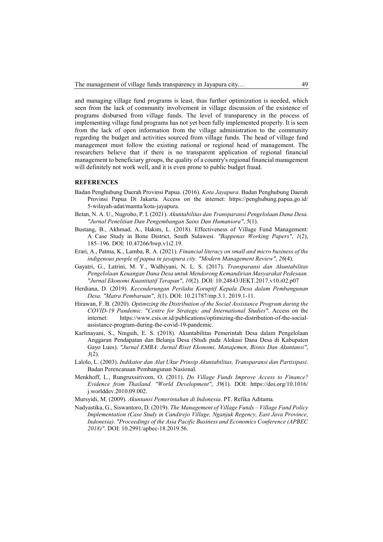and managing village fund programs is least, thus further optimization is needed, which seen from the lack of community involvement in village discussion of the existence of programs disbursed from village funds. The level of transparency in the process of implementing village fund programs has not yet been fully implemented properly. It is seen from the lack of open information from the village administration to the community regarding the budget and activities sourced from village funds. The head of village fund management must follow the existing national or regional head of management. The researchers believe that if there is no transparent application of regional financial management to beneficiary groups, the quality of a country's regional financial management will definitely not work well, and it is even prone to public budget fraud.

#### **REFERENCES**

- Badan Penghubung Daerah Provinsi Papua. (2016). Kota Jayapura. Badan Penghubung Daerah Provinsi Papua Di Jakarta. Access on the internet: https://penghubung.papua.go.id/ 5-wilayah-adat/mamta/kota-jayapura.
- Betan, N. A. U., Nugroho, P. I. (2021). Akuntabilitas dan Transparansi Pengelolaan Dana Desa. "Jurnal Penelitian Dan Pengembangan Sains Dan Humaniora", 5(1).
- Bustang, B., Akhmad, A., Hakim, L. (2018). Effectiveness of Village Fund Management: A Case Study in Bone District, South Sulawesi. "Bappenas Working Papers", 1(2), 185–196. DOI: 10.47266/bwp.v1i2.19.
- Erari, A., Patma, K., Lamba, R. A. (2021). Financial literacy on small and micro business of the indigenous people of papua in jayapura city. "Modern Management Review", 26(4).
- Gayatri, G., Latrini, M. Y., Widhiyani, N. L. S. (2017). Transparansi dan Akuntabilitas Pengelolaan Keuangan Dana Desa untuk Mendorong Kemandirian Masyarakat Pedesaan. "Jurnal Ekonomi Kuantitatif Terapan", 10(2). DOI: 10.24843/JEKT.2017.v10.i02.p07
- Herdiana, D. (2019). Kecenderungan Perilaku Koruptif Kepala Desa dalam Pembangunan Desa. "Matra Pembaruan", 3(1). DOI: 10.21787/mp.3.1. 2019.1-11.
- Hirawan, F. B. (2020). Optimizing the Distribution of the Social Assistance Program during the COVID-19 Pandemic. "Centre for Strategic and International Studies". Access on the internet: https://www.csis.or.id/publications/optimizing-the-distribution-of-the-socialassistance-program-during-the-covid-19-pandemic.
- Karlinayani, S., Ningsih, E. S. (2018). Akuntabilitas Pemerintah Desa dalam Pengelolaan Anggaran Pendapatan dan Belanja Desa (Studi pada Alokasi Dana Desa di Kabupaten Gayo Lues). "Jurnal EMBA: Jurnal Riset Ekonomi, Manajemen, Bisnis Dan Akuntansi",  $3(2)$ .
- Lalolo, L. (2003). Indikator dan Alat Ukur Prinsip Akuntabilitas, Transparansi dan Partisipasi. Badan Perencanaan Pembangunan Nasional.
- Menkhoff, L., Rungruxsirivorn, O. (2011). Do Village Funds Improve Access to Finance? Evidence from Thailand. "World Development", 39(1). DOI: https://doi.org/10.1016/ j.worlddev.2010.09.002.
- Mursyidi, M. (2009). Akuntansi Pemerintahan di Indonesia. PT. Refika Aditama.
- Nadyastika, G., Siswantoro, D. (2019). The Management of Village Funds Village Fund Policy Implementation (Case Study in Candirejo Village, Nganjuk Regency, East Java Province, Indonesia). "Proceedings of the Asia Pacific Business and Economics Conference (APBEC 2018)". DOI: 10.2991/apbec-18.2019.56.